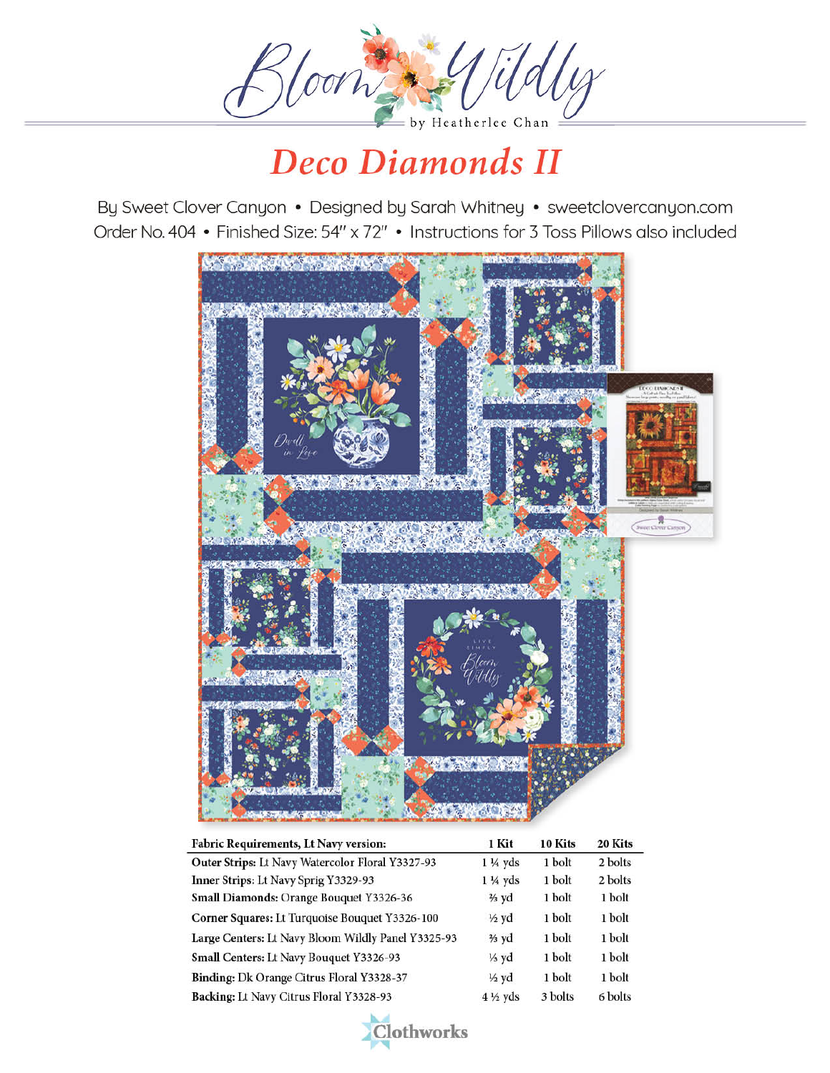

By Sweet Clover Canyon • Designed by Sarah Whitney • sweetclovercanyon.com Order No. 404 • Finished Size: 54" x 72" • Instructions for 3 Toss Pillows also included



| <b>Fabric Requirements, Lt Navy version:</b>       | 1 Kit              | 10 Kits | 20 Kits |
|----------------------------------------------------|--------------------|---------|---------|
| Outer Strips: Lt Navy Watercolor Floral Y3327-93   | $1\frac{1}{4}$ yds | 1 bolt  | 2 bolts |
| Inner Strips: Lt Navy Sprig Y3329-93               | $1\frac{1}{4}$ yds | 1 bolt  | 2 bolts |
| Small Diamonds: Orange Bouquet Y3326-36            | $\frac{2}{3}$ yd   | 1 bolt  | 1 bolt  |
| Corner Squares: Lt Turquoise Bouquet Y3326-100     | $\frac{1}{2}$ yd   | 1 bolt  | 1 bolt  |
| Large Centers: Lt Navy Bloom Wildly Panel Y3325-93 | $\frac{2}{3}$ yd   | 1 bolt  | 1 bolt  |
| Small Centers: Lt Navy Bouquet Y3326-93            | $\frac{1}{3}$ yd   | 1 bolt  | 1 bolt  |
| Binding: Dk Orange Citrus Floral Y3328-37          | $\frac{1}{2}$ yd   | 1 bolt  | 1 bolt  |
| Backing: Lt Navy Citrus Floral Y3328-93            | $4\frac{1}{2}$ yds | 3 bolts | 6 bolts |

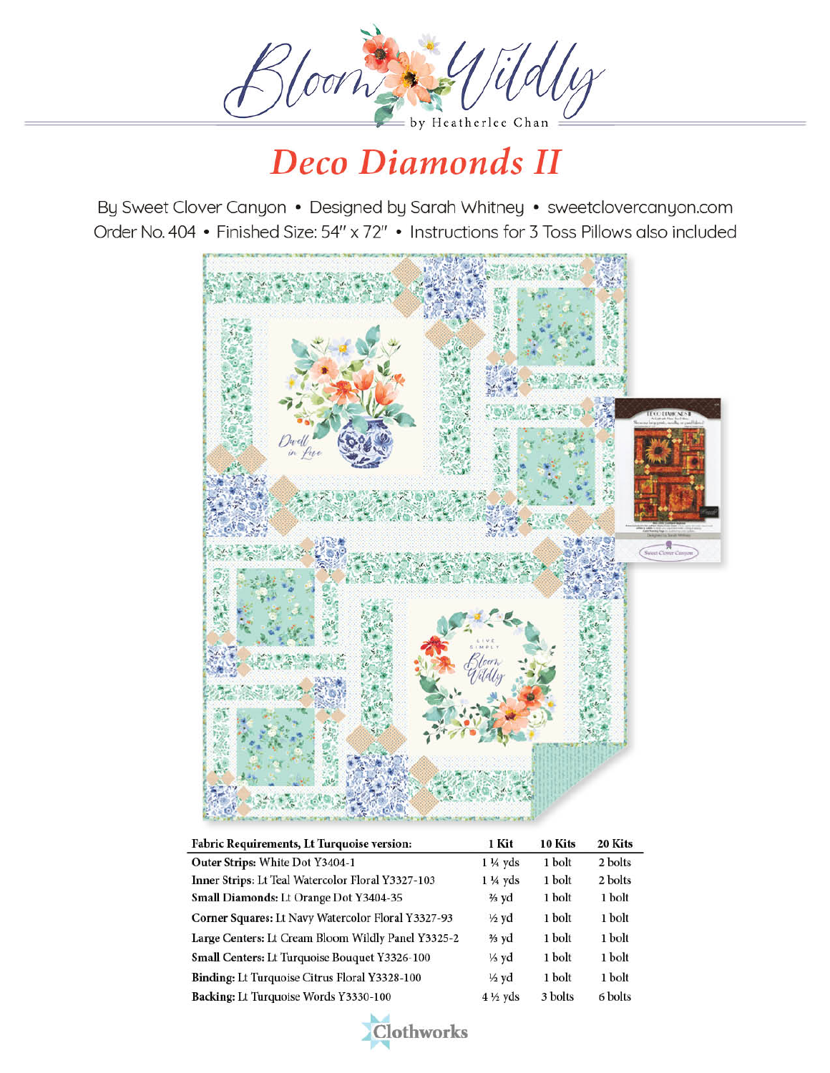

By Sweet Clover Canyon • Designed by Sarah Whitney • sweetclovercanyon.com Order No. 404 . Finished Size: 54" x 72" . Instructions for 3 Toss Pillows also included



| Fabric Requirements, Lt Turquoise version:         | 1 Kit              | 10 Kits | 20 Kits |
|----------------------------------------------------|--------------------|---------|---------|
| Outer Strips: White Dot Y3404-1                    | $1\frac{1}{4}$ yds | 1 bolt  | 2 bolts |
| Inner Strips: Lt Teal Watercolor Floral Y3327-103  | $1\frac{1}{4}$ yds | 1 bolt  | 2 bolts |
| Small Diamonds: Lt Orange Dot Y3404-35             | $\frac{2}{3}$ yd   | 1 bolt  | 1 bolt  |
| Corner Squares: Lt Navy Watercolor Floral Y3327-93 | $\frac{1}{2}$ yd   | 1 bolt  | 1 bolt  |
| Large Centers: Lt Cream Bloom Wildly Panel Y3325-2 | $\frac{2}{3}$ yd   | 1 bolt  | 1 bolt  |
| Small Centers: Lt Turquoise Bouquet Y3326-100      | $\frac{1}{3}$ yd   | 1 bolt  | 1 bolt  |
| Binding: Lt Turquoise Citrus Floral Y3328-100      | $\frac{1}{2}$ yd   | 1 bolt  | 1 bolt  |
| Backing: Lt Turquoise Words Y3330-100              | $4\frac{1}{2}$ yds | 3 bolts | 6 bolts |

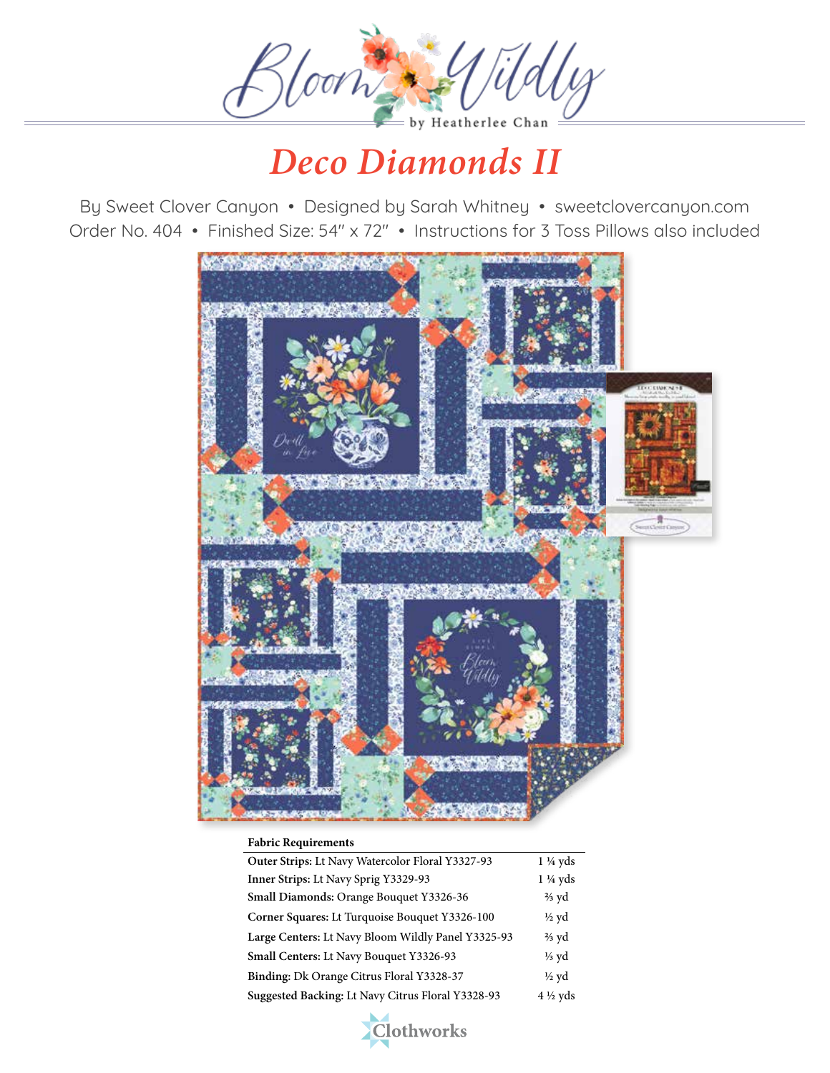

By Sweet Clover Canyon • Designed by Sarah Whitney • sweetclovercanyon.com Order No. 404 • Finished Size: 54" x 72" • Instructions for 3 Toss Pillows also included



#### **Fabric Requirements**

| Outer Strips: Lt Navy Watercolor Floral Y3327-93   | $1\frac{1}{4}$ yds |
|----------------------------------------------------|--------------------|
| Inner Strips: Lt Navy Sprig Y3329-93               | $1\frac{1}{4}$ yds |
| Small Diamonds: Orange Bouquet Y3326-36            | $\frac{2}{3}$ yd   |
| Corner Squares: Lt Turquoise Bouquet Y3326-100     | $\frac{1}{2}$ yd   |
| Large Centers: Lt Navy Bloom Wildly Panel Y3325-93 | $\frac{2}{3}$ yd   |
| Small Centers: Lt Navy Bouquet Y3326-93            | $\frac{1}{3}$ yd   |
| Binding: Dk Orange Citrus Floral Y3328-37          | $\frac{1}{2}$ yd   |
| Suggested Backing: Lt Navy Citrus Floral Y3328-93  | $4\frac{1}{2}$ yds |